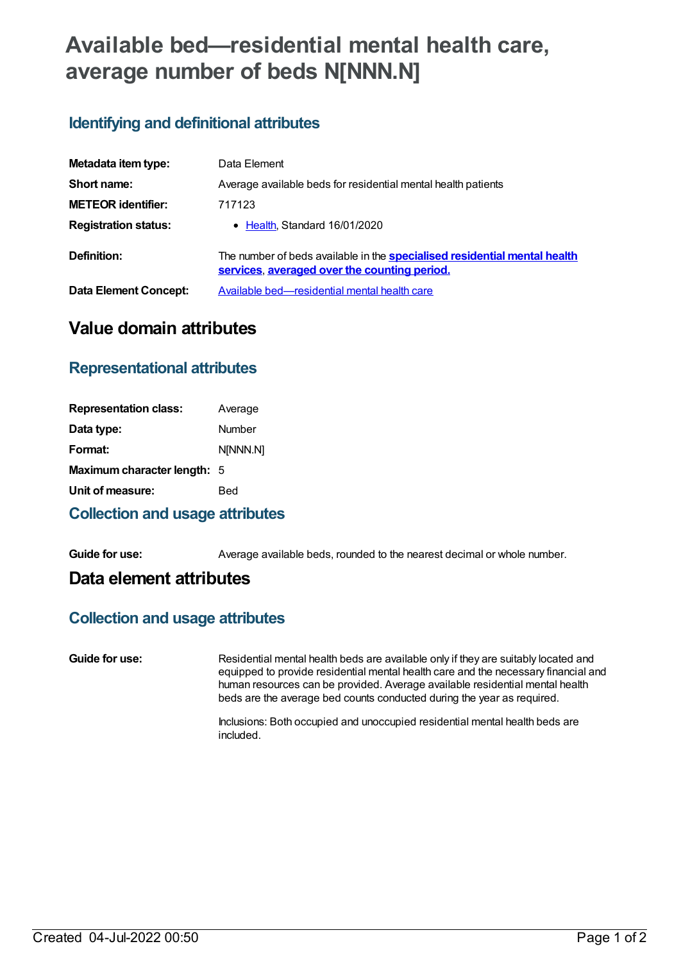# **Available bed—residential mental health care, average number of beds N[NNN.N]**

## **Identifying and definitional attributes**

| Metadata item type:         | Data Element                                                                                                                     |
|-----------------------------|----------------------------------------------------------------------------------------------------------------------------------|
| Short name:                 | Average available beds for residential mental health patients                                                                    |
| <b>METEOR identifier:</b>   | 717123                                                                                                                           |
| <b>Registration status:</b> | • Health, Standard 16/01/2020                                                                                                    |
| Definition:                 | The number of beds available in the <b>specialised residential mental health</b><br>services, averaged over the counting period. |
| Data Element Concept:       | Available bed—residential mental health care                                                                                     |

# **Value domain attributes**

### **Representational attributes**

| <b>Representation class:</b> | Average  |
|------------------------------|----------|
| Data type:                   | Number   |
| Format:                      | NINNN.NI |
| Maximum character length: 5  |          |
| Unit of measure:             | Bed      |
|                              |          |

#### **Collection and usage attributes**

**Guide for use:** Average available beds, rounded to the nearest decimal or whole number.

### **Data element attributes**

#### **Collection and usage attributes**

**Guide for use:** Residential mental health beds are available only if they are suitably located and equipped to provide residential mental health care and the necessary financial and human resources can be provided. Average available residential mental health beds are the average bed counts conducted during the year as required.

> Inclusions: Both occupied and unoccupied residential mental health beds are included.